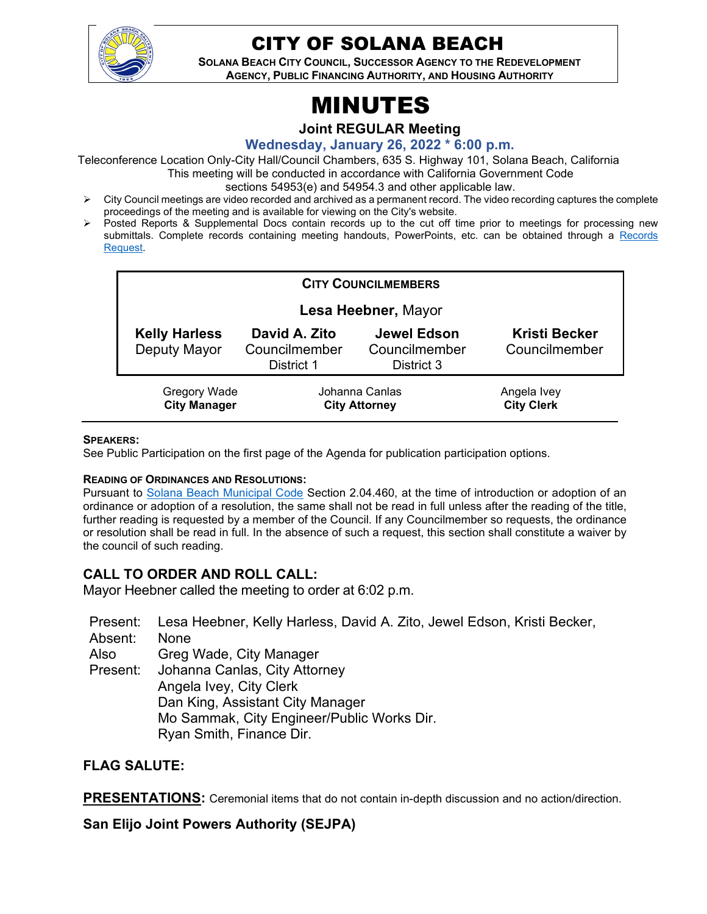

# CITY OF SOLANA BEACH

**SOLANA BEACH CITY COUNCIL, SUCCESSOR AGENCY TO THE REDEVELOPMENT AGENCY, PUBLIC FINANCING AUTHORITY, AND HOUSING AUTHORITY** 

# MINUTES

**Joint REGULAR Meeting**

**Wednesday, January 26, 2022 \* 6:00 p.m.** 

Teleconference Location Only-City Hall/Council Chambers, 635 S. Highway 101, Solana Beach, California This meeting will be conducted in accordance with California Government Code

sections 54953(e) and 54954.3 and other applicable law.

- $\triangleright$  City Council meetings are video recorded and archived as a permanent record. The video recording captures the complete proceedings of the meeting and is available for viewing on the City's website.
- Posted Reports & Supplemental Docs contain records up to the cut off time prior to meetings for processing new submittals. Complete records containing meeting handouts, PowerPoints, etc. can be obtained through a Records <u>Request</u>.

| <b>CITY COUNCILMEMBERS</b>                 |                                              |                                                   |                                       |
|--------------------------------------------|----------------------------------------------|---------------------------------------------------|---------------------------------------|
| Lesa Heebner, Mayor                        |                                              |                                                   |                                       |
| <b>Kelly Harless</b><br>Deputy Mayor       | David A. Zito<br>Councilmember<br>District 1 | <b>Jewel Edson</b><br>Councilmember<br>District 3 | <b>Kristi Becker</b><br>Councilmember |
| <b>Gregory Wade</b><br><b>City Manager</b> | Johanna Canlas<br><b>City Attorney</b>       |                                                   | Angela Ivey<br><b>City Clerk</b>      |

#### **SPEAKERS:**

See Public Participation on the first page of the Agenda for publication participation options.

#### **READING OF ORDINANCES AND RESOLUTIONS:**

Pursuant to [Solana Beach Municipal Code](https://www.codepublishing.com/CA/SolanaBeach/) Section 2.04.460, at the time of introduction or adoption of an ordinance or adoption of a resolution, the same shall not be read in full unless after the reading of the title, further reading is requested by a member of the Council. If any Councilmember so requests, the ordinance or resolution shall be read in full. In the absence of such a request, this section shall constitute a waiver by the council of such reading.

#### **CALL TO ORDER AND ROLL CALL:**

Mayor Heebner called the meeting to order at 6:02 p.m.

Present: Lesa Heebner, Kelly Harless, David A. Zito, Jewel Edson, Kristi Becker, Absent: None Also Present: Greg Wade, City Manager Johanna Canlas, City Attorney Angela Ivey, City Clerk Dan King, Assistant City Manager Mo Sammak, City Engineer/Public Works Dir. Ryan Smith, Finance Dir.

#### **FLAG SALUTE:**

**PRESENTATIONS:** Ceremonial items that do not contain in-depth discussion and no action/direction.

**San Elijo Joint Powers Authority (SEJPA)**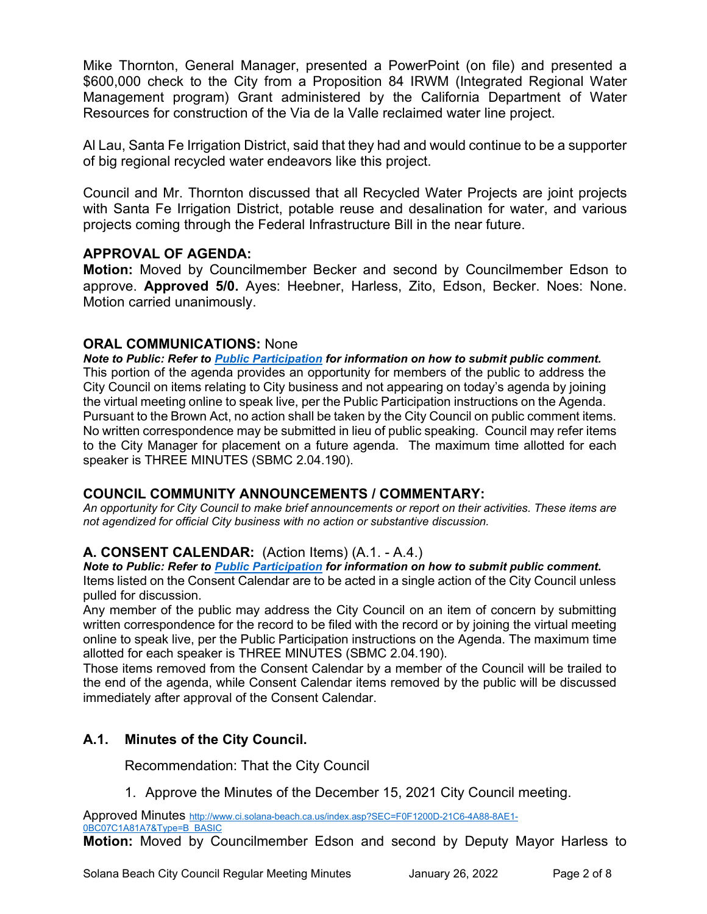Mike Thornton, General Manager, presented a PowerPoint (on file) and presented a \$600,000 check to the City from a Proposition 84 IRWM (Integrated Regional Water Management program) Grant administered by the California Department of Water Resources for construction of the Via de la Valle reclaimed water line project.

Al Lau, Santa Fe Irrigation District, said that they had and would continue to be a supporter of big regional recycled water endeavors like this project.

Council and Mr. Thornton discussed that all Recycled Water Projects are joint projects with Santa Fe Irrigation District, potable reuse and desalination for water, and various projects coming through the Federal Infrastructure Bill in the near future.

#### **APPROVAL OF AGENDA:**

**Motion:** Moved by Councilmember Becker and second by Councilmember Edson to approve. **Approved 5/0.** Ayes: Heebner, Harless, Zito, Edson, Becker. Noes: None. Motion carried unanimously.

#### **ORAL COMMUNICATIONS:** None

*Note to Public: Refer to Public Participation for information on how to submit public comment.*  This portion of the agenda provides an opportunity for members of the public to address the City Council on items relating to City business and not appearing on today's agenda by joining the virtual meeting online to speak live, per the Public Participation instructions on the Agenda. Pursuant to the Brown Act, no action shall be taken by the City Council on public comment items. No written correspondence may be submitted in lieu of public speaking. Council may refer items to the City Manager for placement on a future agenda. The maximum time allotted for each speaker is THREE MINUTES (SBMC 2.04.190).

#### **COUNCIL COMMUNITY ANNOUNCEMENTS / COMMENTARY:**

*An opportunity for City Council to make brief announcements or report on their activities. These items are not agendized for official City business with no action or substantive discussion.* 

#### **A. CONSENT CALENDAR:** (Action Items) (A.1. - A.4.)

*Note to Public: Refer to Public Participation for information on how to submit public comment.*  Items listed on the Consent Calendar are to be acted in a single action of the City Council unless pulled for discussion.

Any member of the public may address the City Council on an item of concern by submitting written correspondence for the record to be filed with the record or by joining the virtual meeting online to speak live, per the Public Participation instructions on the Agenda. The maximum time allotted for each speaker is THREE MINUTES (SBMC 2.04.190).

Those items removed from the Consent Calendar by a member of the Council will be trailed to the end of the agenda, while Consent Calendar items removed by the public will be discussed immediately after approval of the Consent Calendar.

## **A.1. Minutes of the City Council.**

Recommendation: That the City Council

1. Approve the Minutes of the December 15, 2021 City Council meeting.

Approved Minutes [http://www.ci.solana-beach.ca.us/index.asp?SEC=F0F1200D-21C6-4A88-8AE1-](http://www.ci.solana-beach.ca.us/index.asp?SEC=F0F1200D-21C6-4A88-8AE1-0BC07C1A81A7&Type=B_BASIC) [0BC07C1A81A7&Type=B\\_BASIC](http://www.ci.solana-beach.ca.us/index.asp?SEC=F0F1200D-21C6-4A88-8AE1-0BC07C1A81A7&Type=B_BASIC)

**Motion:** Moved by Councilmember Edson and second by Deputy Mayor Harless to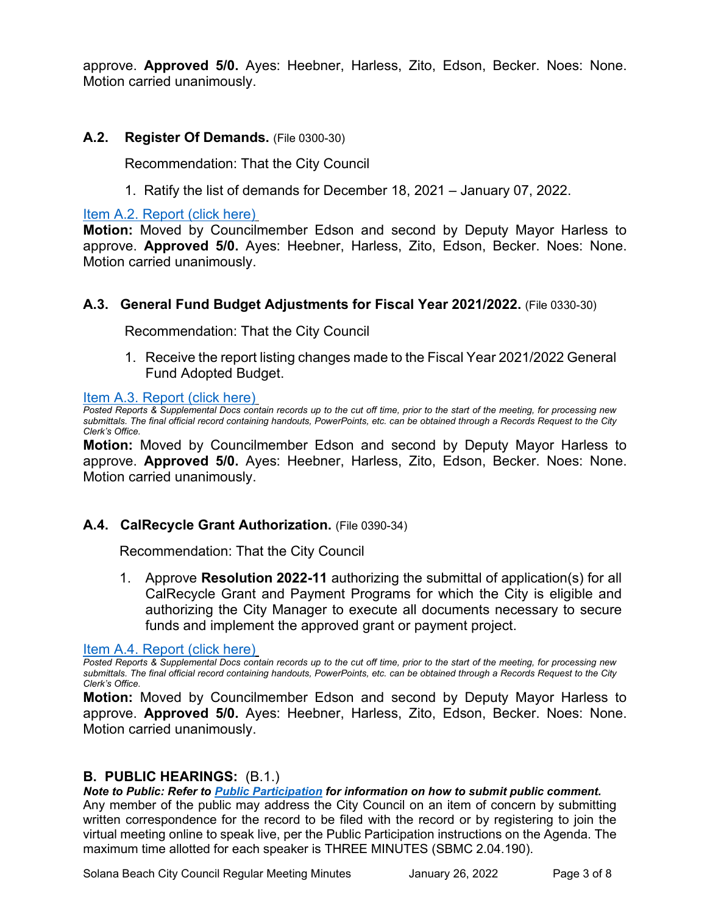approve. **Approved 5/0.** Ayes: Heebner, Harless, Zito, Edson, Becker. Noes: None. Motion carried unanimously.

#### **A.2. Register Of Demands.** (File 0300-30)

Recommendation: That the City Council

1. Ratify the list of demands for December 18, 2021 – January 07, 2022.

[Item A.2. Report \(click here\)](https://solanabeach.govoffice3.com/vertical/Sites/%7B840804C2-F869-4904-9AE3-720581350CE7%7D/uploads/Item_A.2._Report_(click_here)_-_01-26-22_-_O.pdf)

**Motion:** Moved by Councilmember Edson and second by Deputy Mayor Harless to approve. **Approved 5/0.** Ayes: Heebner, Harless, Zito, Edson, Becker. Noes: None. Motion carried unanimously.

#### **A.3. General Fund Budget Adjustments for Fiscal Year 2021/2022.** (File 0330-30)

Recommendation: That the City Council

1. Receive the report listing changes made to the Fiscal Year 2021/2022 General [Fund Adopted Budget.](https://solanabeach.govoffice3.com/vertical/Sites/%7B840804C2-F869-4904-9AE3-720581350CE7%7D/uploads/Item_A.3._Report_(click_here)_-_01-26-22_-_O(1).pdf)

[Item A.3. Report \(click here\)](https://solanabeach.govoffice3.com/vertical/Sites/%7B840804C2-F869-4904-9AE3-720581350CE7%7D/uploads/Item_A.3._Report_(click_here)_-_01-26-22_-_O(1).pdf)

*Posted Reports & Supplemental Docs contain records up to the cut off time, prior to the start of the meeting, for processing new submittals. The final official record containing handouts, PowerPoints, etc. can be obtained through a Records Request to the City Clerk's Office.*

**Motion:** Moved by Councilmember Edson and second by Deputy Mayor Harless to approve. **Approved 5/0.** Ayes: Heebner, Harless, Zito, Edson, Becker. Noes: None. Motion carried unanimously.

#### A.4. CalRecycle Grant Authorization. (File 0390-34)

Recommendation: That the City Council

1. Approve **Resolution 2022-11** authorizing the submittal of application(s) for all CalRecycle Grant and Payment Programs for which the City is eligible and authorizing the City Manager to execute all documents necessary to secure funds and implement the approved grant or payment project.

[Item A.4. Report \(click here\)](https://solanabeach.govoffice3.com/vertical/Sites/%7B840804C2-F869-4904-9AE3-720581350CE7%7D/uploads/Item_A.4._Report_(click_here)_-_1-26-22_-_O.pdf)

*Posted Reports & Supplemental Docs contain records up to the cut off time, prior to the start of the meeting, for processing new submittals. The final official record containing handouts, PowerPoints, etc. can be obtained through a Records Request to the City Clerk's Office.*

**Motion:** Moved by Councilmember Edson and second by Deputy Mayor Harless to approve. **Approved 5/0.** Ayes: Heebner, Harless, Zito, Edson, Becker. Noes: None. Motion carried unanimously.

#### **B. PUBLIC HEARINGS:** (B.1.)

*Note to Public: Refer to Public Participation for information on how to submit public comment.* 

Any member of the public may address the City Council on an item of concern by submitting written correspondence for the record to be filed with the record or by registering to join the virtual meeting online to speak live, per the Public Participation instructions on the Agenda. The maximum time allotted for each speaker is THREE MINUTES (SBMC 2.04.190).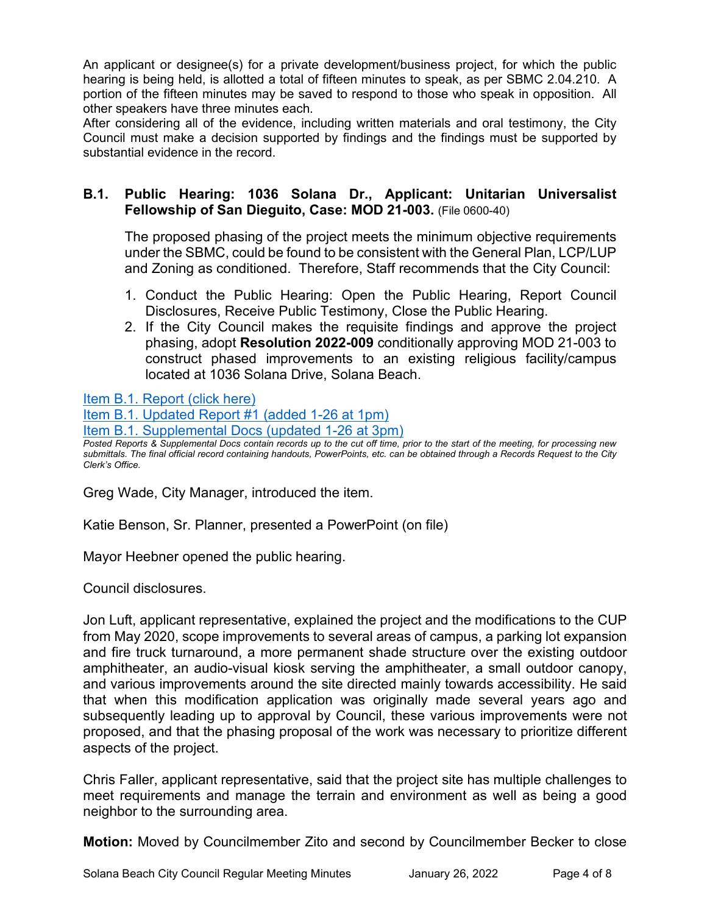An applicant or designee(s) for a private development/business project, for which the public hearing is being held, is allotted a total of fifteen minutes to speak, as per SBMC 2.04.210. A portion of the fifteen minutes may be saved to respond to those who speak in opposition. All other speakers have three minutes each.

After considering all of the evidence, including written materials and oral testimony, the City Council must make a decision supported by findings and the findings must be supported by substantial evidence in the record.

#### **B.1. Public Hearing: 1036 Solana Dr., Applicant: Unitarian Universalist Fellowship of San Dieguito, Case: MOD 21-003.** (File 0600-40)

The proposed phasing of the project meets the minimum objective requirements under the SBMC, could be found to be consistent with the General Plan, LCP/LUP and Zoning as conditioned. Therefore, Staff recommends that the City Council:

- 1. Conduct the Public Hearing: Open the Public Hearing, Report Council Disclosures, Receive Public Testimony, Close the Public Hearing.
- 2. If the City Council makes the requisite findings and approve the project phasing, adopt **Resolution 2022-009** conditionally approving MOD 21-003 to construct phased improvements to an existing religious facility/campus located at 1036 Solana Drive, Solana Beach.

[Item B.1. Report \(click here\)](https://solanabeach.govoffice3.com/vertical/Sites/%7B840804C2-F869-4904-9AE3-720581350CE7%7D/uploads/Item_B.1._Report_(click_here)_-_01-26-22_-_O.pdf)

[Item B.1. Updated Report #1 \(added 1-26 at 1pm\)](https://solanabeach.govoffice3.com/vertical/Sites/%7B840804C2-F869-4904-9AE3-720581350CE7%7D/uploads/Item_B.1._Updated_Report_1_-_1-26-22_-_O.pdf)

[Item B.1. Supplemental Docs \(updated 1-26](https://solanabeach.govoffice3.com/vertical/Sites/%7B840804C2-F869-4904-9AE3-720581350CE7%7D/uploads/Item_B.1._Supplemental_Docs_(Upd._1-26_at_3pm)_-_O.pdf) at 3pm)

*Posted Reports & Supplemental Docs contain records up to the cut off time, prior to the start of the meeting, for processing new submittals. The final official record containing handouts, PowerPoints, etc. can be obtained through a Records Request to the City Clerk's Office.*

Greg Wade, City Manager, introduced the item.

Katie Benson, Sr. Planner, presented a PowerPoint (on file)

Mayor Heebner opened the public hearing.

Council disclosures.

Jon Luft, applicant representative, explained the project and the modifications to the CUP from May 2020, scope improvements to several areas of campus, a parking lot expansion and fire truck turnaround, a more permanent shade structure over the existing outdoor amphitheater, an audio-visual kiosk serving the amphitheater, a small outdoor canopy, and various improvements around the site directed mainly towards accessibility. He said that when this modification application was originally made several years ago and subsequently leading up to approval by Council, these various improvements were not proposed, and that the phasing proposal of the work was necessary to prioritize different aspects of the project.

Chris Faller, applicant representative, said that the project site has multiple challenges to meet requirements and manage the terrain and environment as well as being a good neighbor to the surrounding area.

**Motion:** Moved by Councilmember Zito and second by Councilmember Becker to close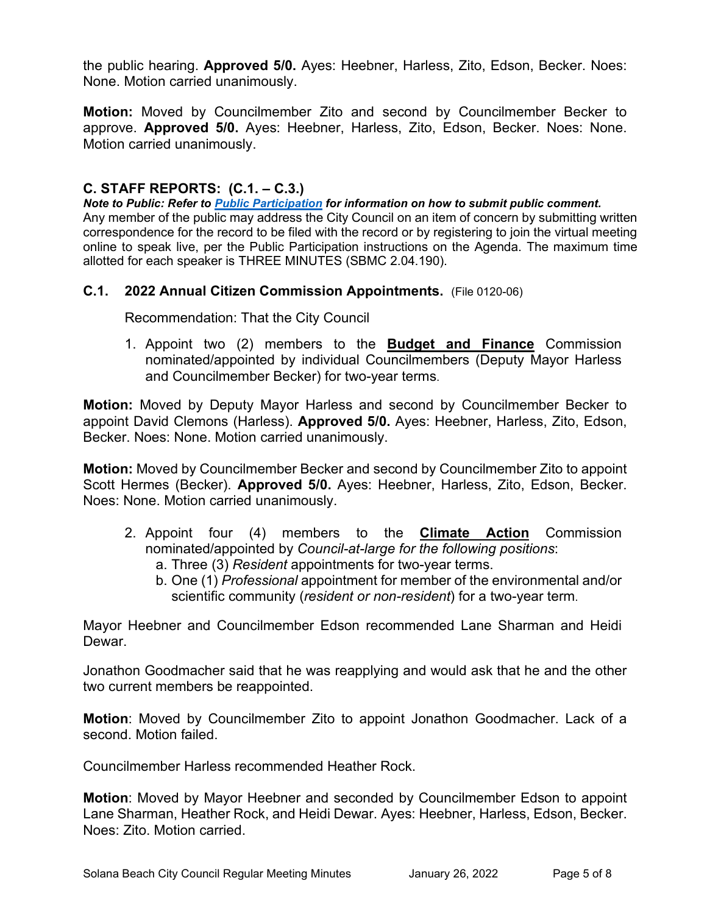the public hearing. **Approved 5/0.** Ayes: Heebner, Harless, Zito, Edson, Becker. Noes: None. Motion carried unanimously.

**Motion:** Moved by Councilmember Zito and second by Councilmember Becker to approve. **Approved 5/0.** Ayes: Heebner, Harless, Zito, Edson, Becker. Noes: None. Motion carried unanimously.

### **C. STAFF REPORTS: (C.1. – C.3.)**

*Note to Public: Refer to Public Participation for information on how to submit public comment.*  Any member of the public may address the City Council on an item of concern by submitting written correspondence for the record to be filed with the record or by registering to join the virtual meeting online to speak live, per the Public Participation instructions on the Agenda. The maximum time allotted for each speaker is THREE MINUTES (SBMC 2.04.190).

#### **C.1. 2022 Annual Citizen Commission Appointments.** (File 0120-06)

Recommendation: That the City Council

1. Appoint two (2) members to the **Budget and Finance** Commission nominated/appointed by individual Councilmembers (Deputy Mayor Harless and Councilmember Becker) for two-year terms.

**Motion:** Moved by Deputy Mayor Harless and second by Councilmember Becker to appoint David Clemons (Harless). **Approved 5/0.** Ayes: Heebner, Harless, Zito, Edson, Becker. Noes: None. Motion carried unanimously.

**Motion:** Moved by Councilmember Becker and second by Councilmember Zito to appoint Scott Hermes (Becker). **Approved 5/0.** Ayes: Heebner, Harless, Zito, Edson, Becker. Noes: None. Motion carried unanimously.

- 2. Appoint four (4) members to the **Climate Action** Commission nominated/appointed by *Council-at-large for the following positions*:
	- a. Three (3) *Resident* appointments for two-year terms.
	- b. One (1) *Professional* appointment for member of the environmental and/or scientific community (*resident or non-resident*) for a two-year term.

Mayor Heebner and Councilmember Edson recommended Lane Sharman and Heidi Dewar.

Jonathon Goodmacher said that he was reapplying and would ask that he and the other two current members be reappointed.

**Motion**: Moved by Councilmember Zito to appoint Jonathon Goodmacher. Lack of a second. Motion failed.

Councilmember Harless recommended Heather Rock.

**Motion**: Moved by Mayor Heebner and seconded by Councilmember Edson to appoint Lane Sharman, Heather Rock, and Heidi Dewar. Ayes: Heebner, Harless, Edson, Becker. Noes: Zito. Motion carried.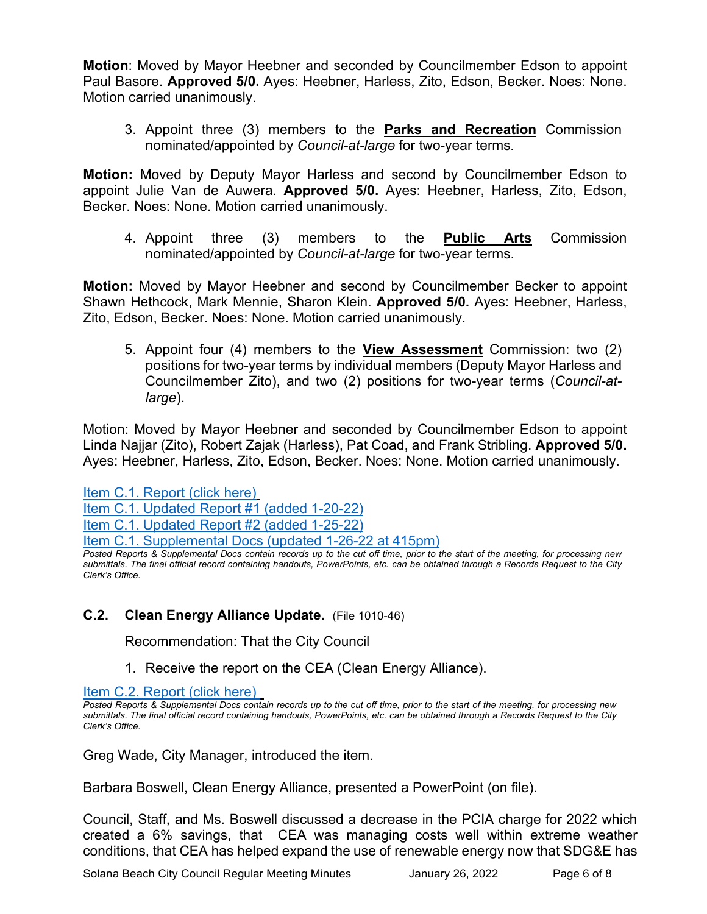**Motion**: Moved by Mayor Heebner and seconded by Councilmember Edson to appoint Paul Basore. **Approved 5/0.** Ayes: Heebner, Harless, Zito, Edson, Becker. Noes: None. Motion carried unanimously.

3. Appoint three (3) members to the **Parks and Recreation** Commission nominated/appointed by *Council-at-large* for two-year terms.

**Motion:** Moved by Deputy Mayor Harless and second by Councilmember Edson to appoint Julie Van de Auwera. **Approved 5/0.** Ayes: Heebner, Harless, Zito, Edson, Becker. Noes: None. Motion carried unanimously.

4. Appoint three (3) members to the **Public Arts** Commission nominated/appointed by *Council-at-large* for two-year terms.

**Motion:** Moved by Mayor Heebner and second by Councilmember Becker to appoint Shawn Hethcock, Mark Mennie, Sharon Klein. **Approved 5/0.** Ayes: Heebner, Harless, Zito, Edson, Becker. Noes: None. Motion carried unanimously.

5. Appoint four (4) members to the **View Assessment** Commission: two (2) positions for two-year terms by individual members (Deputy Mayor Harless and Councilmember Zito), and two (2) positions for two-year terms (*Council-atlarge*).

Motion: Moved by Mayor Heebner and seconded by Councilmember Edson to appoint Linda Najjar (Zito), Robert Zajak (Harless), Pat Coad, and Frank Stribling. **Approved 5/0.**  Ayes: Heebner, Harless, Zito, Edson, Becker. Noes: None. Motion carried unanimously.

[Item C.1. Report \(click here\)](https://solanabeach.govoffice3.com/vertical/Sites/%7B840804C2-F869-4904-9AE3-720581350CE7%7D/uploads/Item_C.1._Report_(click_here)_-_01-26-22_-_O.pdf) [Item C.1. Updated Report #1 \(added 1-20-22\)](https://solanabeach.govoffice3.com/vertical/Sites/%7B840804C2-F869-4904-9AE3-720581350CE7%7D/uploads/Item_C.1._Updated_Report_1_-_1-20-22_-_O.pdf) [Item C.1. Updated Report #2 \(added 1-25-22\)](https://solanabeach.govoffice3.com/vertical/Sites/%7B840804C2-F869-4904-9AE3-720581350CE7%7D/uploads/Item_C.1._Updated_Report_2_-_1-25-22_-_O.pdf) [Item C.1. Supplemental Docs \(updated 1-26-22 at 415pm\)](https://solanabeach.govoffice3.com/vertical/Sites/%7B840804C2-F869-4904-9AE3-720581350CE7%7D/uploads/Item_C.1._Supplemental_Docs_(Upd._1-26_at_415pm)_-_O.pdf)

#### **C.2. Clean Energy Alliance Update.** (File 1010-46)

Recommendation: That the City Council

1. Receive the report on the CEA (Clean Energy Alliance).

[Item C.2. Report](https://solanabeach.govoffice3.com/vertical/Sites/%7B840804C2-F869-4904-9AE3-720581350CE7%7D/uploads/Item_C.2._Report_(click_here)_-_01-26-22_-_O.pdf) (click here)

Greg Wade, City Manager, introduced the item.

Barbara Boswell, Clean Energy Alliance, presented a PowerPoint (on file).

Council, Staff, and Ms. Boswell discussed a decrease in the PCIA charge for 2022 which created a 6% savings, that CEA was managing costs well within extreme weather conditions, that CEA has helped expand the use of renewable energy now that SDG&E has

*Posted Reports & Supplemental Docs contain records up to the cut off time, prior to the start of the meeting, for processing new submittals. The final official record containing handouts, PowerPoints, etc. can be obtained through a Records Request to the City Clerk's Office.*

*Posted Reports & Supplemental Docs contain records up to the cut off time, prior to the start of the meeting, for processing new submittals. The final official record containing handouts, PowerPoints, etc. can be obtained through a Records Request to the City Clerk's Office.*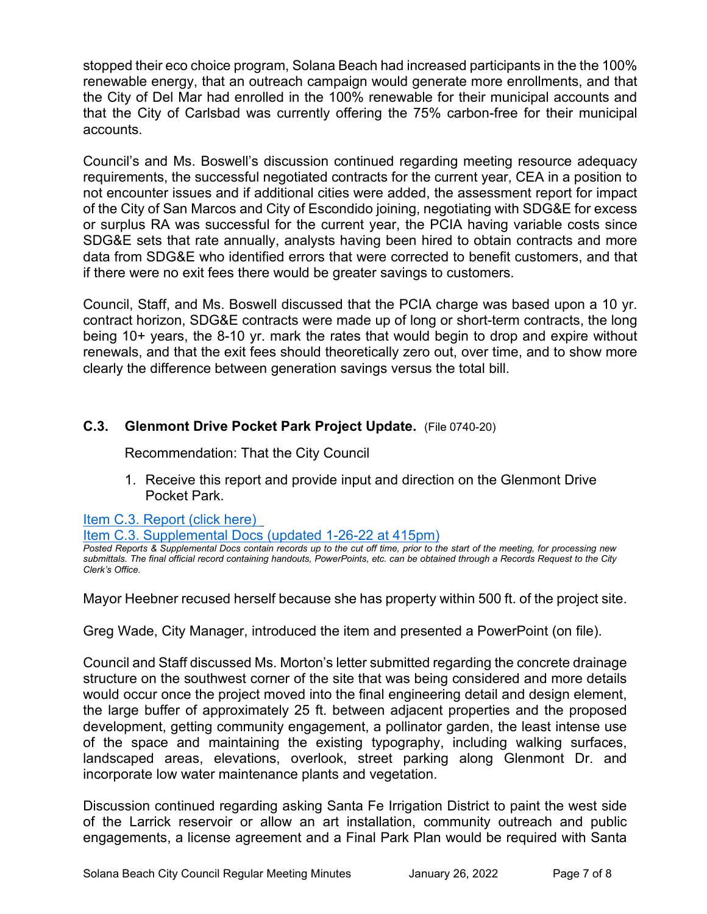stopped their eco choice program, Solana Beach had increased participants in the the 100% renewable energy, that an outreach campaign would generate more enrollments, and that the City of Del Mar had enrolled in the 100% renewable for their municipal accounts and that the City of Carlsbad was currently offering the 75% carbon-free for their municipal accounts.

Council's and Ms. Boswell's discussion continued regarding meeting resource adequacy requirements, the successful negotiated contracts for the current year, CEA in a position to not encounter issues and if additional cities were added, the assessment report for impact of the City of San Marcos and City of Escondido joining, negotiating with SDG&E for excess or surplus RA was successful for the current year, the PCIA having variable costs since SDG&E sets that rate annually, analysts having been hired to obtain contracts and more data from SDG&E who identified errors that were corrected to benefit customers, and that if there were no exit fees there would be greater savings to customers.

Council, Staff, and Ms. Boswell discussed that the PCIA charge was based upon a 10 yr. contract horizon, SDG&E contracts were made up of long or short-term contracts, the long being 10+ years, the 8-10 yr. mark the rates that would begin to drop and expire without renewals, and that the exit fees should theoretically zero out, over time, and to show more clearly the difference between generation savings versus the total bill.

### **C.3. Glenmont Drive Pocket Park Project Update.** (File 0740-20)

Recommendation: That the City Council

1. Receive this report and provide input and direction on the Glenmont Drive Pocket Park.

[Item C.3. Report \(click here\)](https://solanabeach.govoffice3.com/vertical/Sites/%7B840804C2-F869-4904-9AE3-720581350CE7%7D/uploads/Item_C.3._Report_(click_here)_-_01-26-22_-_O.pdf) 

[Item C.3. Supplemental Docs \(updated 1-26-22 at 415pm\)](https://solanabeach.govoffice3.com/vertical/Sites/%7B840804C2-F869-4904-9AE3-720581350CE7%7D/uploads/Item_C.3._Supplemental_Docs_(upd._1-26_at_415pm)_-_O.pdf)

*Posted Reports & Supplemental Docs contain records up to the cut off time, prior to the start of the meeting, for processing new submittals. The final official record containing handouts, PowerPoints, etc. can be obtained through a Records Request to the City Clerk's Office.*

Mayor Heebner recused herself because she has property within 500 ft. of the project site.

Greg Wade, City Manager, introduced the item and presented a PowerPoint (on file).

Council and Staff discussed Ms. Morton's letter submitted regarding the concrete drainage structure on the southwest corner of the site that was being considered and more details would occur once the project moved into the final engineering detail and design element, the large buffer of approximately 25 ft. between adjacent properties and the proposed development, getting community engagement, a pollinator garden, the least intense use of the space and maintaining the existing typography, including walking surfaces, landscaped areas, elevations, overlook, street parking along Glenmont Dr. and incorporate low water maintenance plants and vegetation.

Discussion continued regarding asking Santa Fe Irrigation District to paint the west side of the Larrick reservoir or allow an art installation, community outreach and public engagements, a license agreement and a Final Park Plan would be required with Santa